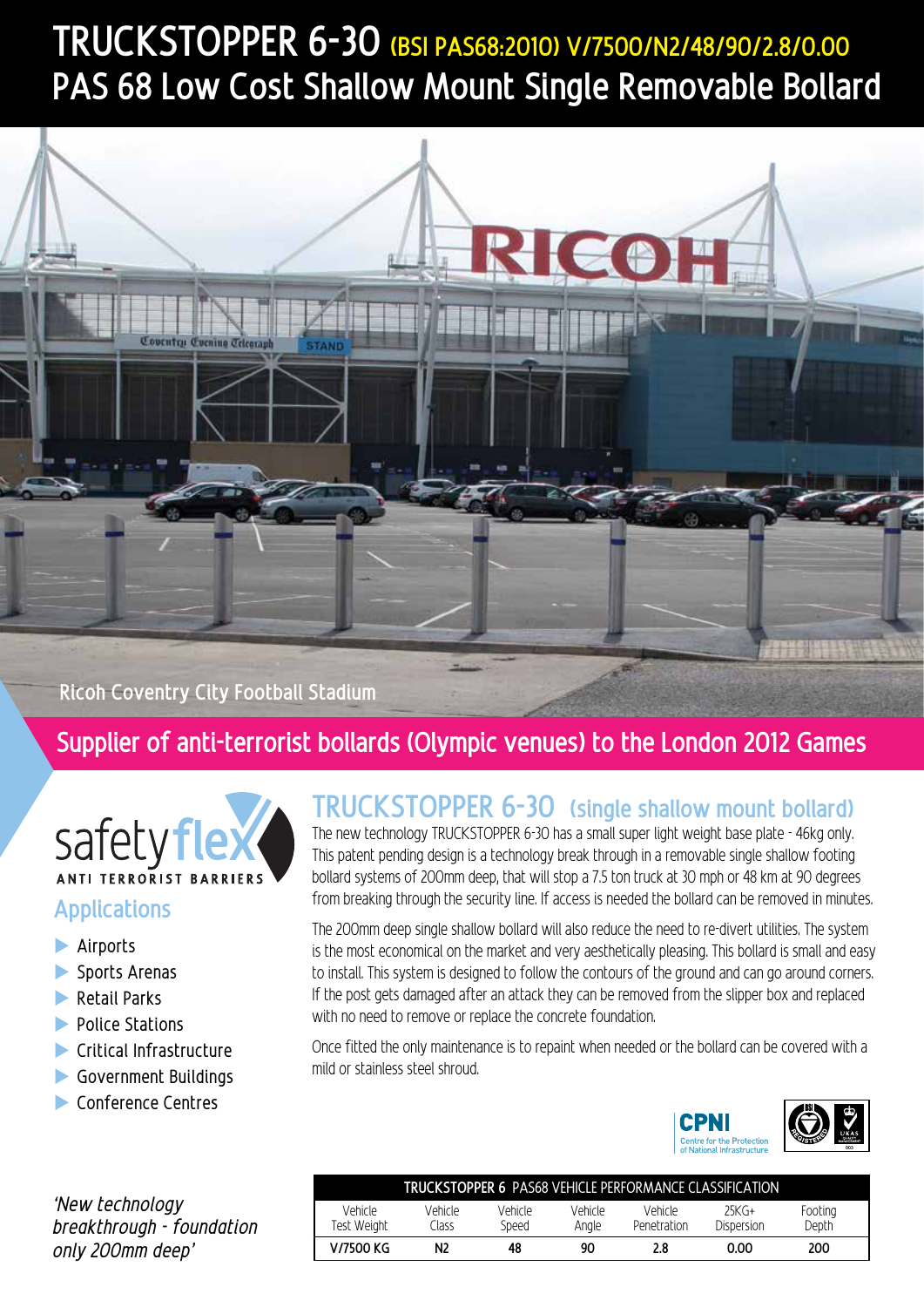# **TRUCKSTOPPER 6-30 (BSI PAS68:2010) V/7500/N2/48/90/2.8/0.00 PAS 68 Low Cost Shallow Mount Single Removable Bollard**



**Ricoh Coventry City Football Stadium**

#### **Supplier of anti-terrorist bollards (Olympic venues) to the London 2012 Games**



#### **Applications**

- $\blacktriangleright$  Airports
- $\blacktriangleright$  Sports Arenas
- $\blacktriangleright$  Retail Parks
- **Department**
- $\blacktriangleright$  Critical Infrastructure
- $\blacktriangleright$  Government Buildings
- $\blacktriangleright$  Conference Centres

### **TRUCKSTOPPER 6-30 (single shallow mount bollard)**

The new technology TRUCKSTOPPER 6-30 has a small super light weight base plate - 46kg only. This patent pending design is a technology break through in a removable single shallow footing bollard systems of 200mm deep, that will stop a 7.5 ton truck at 30 mph or 48 km at 90 degrees from breaking through the security line. If access is needed the bollard can be removed in minutes.

The 200mm deep single shallow bollard will also reduce the need to re-divert utilities. The system is the most economical on the market and very aesthetically pleasing. This bollard is small and easy to install. This system is designed to follow the contours of the ground and can go around corners. If the post gets damaged after an attack they can be removed from the slipper box and replaced with no need to remove or replace the concrete foundation.

Once fitted the only maintenance is to repaint when needed or the bollard can be covered with a mild or stainless steel shroud.



|        | TRUCKSTOPPER 6 PAS68 VEHICLE PERFORMANCE CLASSIFICATION |                  |                  |                  |                        |                       |                  |
|--------|---------------------------------------------------------|------------------|------------------|------------------|------------------------|-----------------------|------------------|
| dation | Vehicle<br>Fest Weiaht                                  | Vehicle<br>Ilass | Vehicle<br>Speed | Vehicle<br>Anale | Vehicle<br>Penetration | $25KG+$<br>Dispersion | Footing<br>Depth |
|        | V/7500 KG                                               | N <sub>2</sub>   | 48               | 90               |                        | 0.00                  | 200              |

*'New technology breakthrough - found only 200mm deep'*